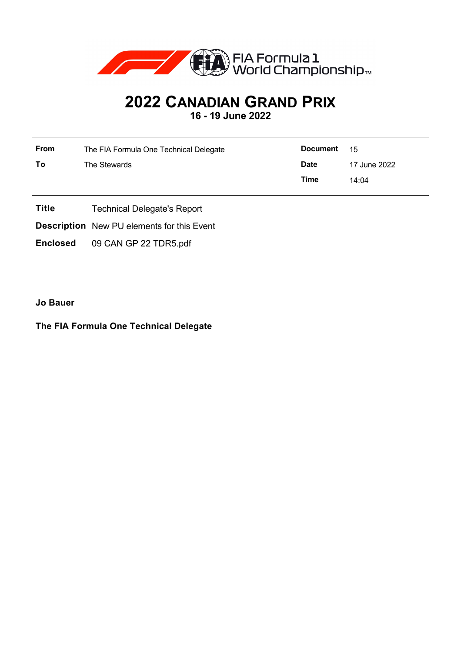

## **2022 CANADIAN GRAND PRIX 16 - 19 June 2022**

| From | The FIA Formula One Technical Delegate | <b>Document</b> | - 15         |
|------|----------------------------------------|-----------------|--------------|
| Τo   | The Stewards                           | <b>Date</b>     | 17 June 2022 |
|      |                                        | Time            | 14:04        |

- **Title** Technical Delegate's Report
- **Description** New PU elements for this Event
- **Enclosed** 09 CAN GP 22 TDR5.pdf

**Jo Bauer**

## **The FIA Formula One Technical Delegate**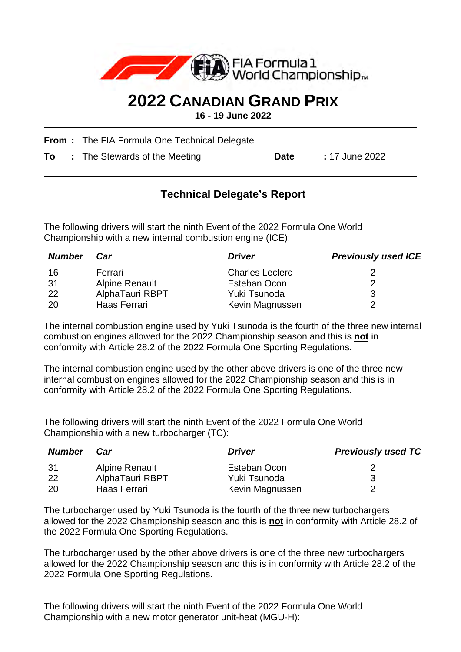

## **2022 CANADIAN GRAND PRIX**

**16 - 19 June 2022**

**From :** The FIA Formula One Technical Delegate

**To** : The Stewards of the Meeting **Date** : 17 June 2022

## **Technical Delegate's Report**

The following drivers will start the ninth Event of the 2022 Formula One World Championship with a new internal combustion engine (ICE):

| <b>Number</b> | Car             | <b>Driver</b>          | <b>Previously used ICE</b> |
|---------------|-----------------|------------------------|----------------------------|
| 16            | Ferrari         | <b>Charles Leclerc</b> |                            |
| -31           | Alpine Renault  | Esteban Ocon           |                            |
| -22           | AlphaTauri RBPT | Yuki Tsunoda           |                            |
| 20            | Haas Ferrari    | Kevin Magnussen        |                            |

The internal combustion engine used by Yuki Tsunoda is the fourth of the three new internal combustion engines allowed for the 2022 Championship season and this is **not** in conformity with Article 28.2 of the 2022 Formula One Sporting Regulations.

The internal combustion engine used by the other above drivers is one of the three new internal combustion engines allowed for the 2022 Championship season and this is in conformity with Article 28.2 of the 2022 Formula One Sporting Regulations.

The following drivers will start the ninth Event of the 2022 Formula One World Championship with a new turbocharger (TC):

| <b>Number</b> | Car             | <i>Driver</i>   | <b>Previously used TC</b> |
|---------------|-----------------|-----------------|---------------------------|
| -31           | Alpine Renault  | Esteban Ocon    |                           |
| -22           | AlphaTauri RBPT | Yuki Tsunoda    |                           |
| -20           | Haas Ferrari    | Kevin Magnussen |                           |

The turbocharger used by Yuki Tsunoda is the fourth of the three new turbochargers allowed for the 2022 Championship season and this is **not** in conformity with Article 28.2 of the 2022 Formula One Sporting Regulations.

The turbocharger used by the other above drivers is one of the three new turbochargers allowed for the 2022 Championship season and this is in conformity with Article 28.2 of the 2022 Formula One Sporting Regulations.

The following drivers will start the ninth Event of the 2022 Formula One World Championship with a new motor generator unit-heat (MGU-H):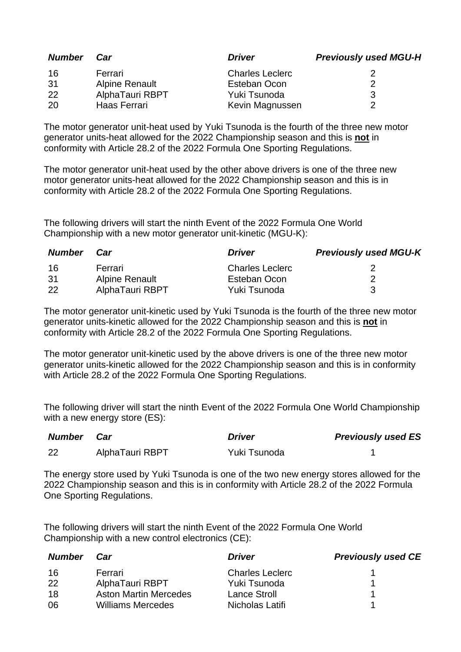| <b>Number</b> | Car                   | <b>Driver</b>          | <b>Previously used MGU-H</b> |
|---------------|-----------------------|------------------------|------------------------------|
| 16            | Ferrari               | <b>Charles Leclerc</b> |                              |
| 31            | <b>Alpine Renault</b> | Esteban Ocon           |                              |
| 22            | AlphaTauri RBPT       | Yuki Tsunoda           |                              |
| 20            | Haas Ferrari          | Kevin Magnussen        |                              |

The motor generator unit-heat used by Yuki Tsunoda is the fourth of the three new motor generator units-heat allowed for the 2022 Championship season and this is **not** in conformity with Article 28.2 of the 2022 Formula One Sporting Regulations.

The motor generator unit-heat used by the other above drivers is one of the three new motor generator units-heat allowed for the 2022 Championship season and this is in conformity with Article 28.2 of the 2022 Formula One Sporting Regulations.

The following drivers will start the ninth Event of the 2022 Formula One World Championship with a new motor generator unit-kinetic (MGU-K):

| <b>Number</b> | Car                   | <i>Driver</i>          | <b>Previously used MGU-K</b> |
|---------------|-----------------------|------------------------|------------------------------|
| 16            | Ferrari               | <b>Charles Leclerc</b> |                              |
| 31            | <b>Alpine Renault</b> | Esteban Ocon           |                              |
| -22           | AlphaTauri RBPT       | Yuki Tsunoda           |                              |

The motor generator unit-kinetic used by Yuki Tsunoda is the fourth of the three new motor generator units-kinetic allowed for the 2022 Championship season and this is **not** in conformity with Article 28.2 of the 2022 Formula One Sporting Regulations.

The motor generator unit-kinetic used by the above drivers is one of the three new motor generator units-kinetic allowed for the 2022 Championship season and this is in conformity with Article 28.2 of the 2022 Formula One Sporting Regulations.

The following driver will start the ninth Event of the 2022 Formula One World Championship with a new energy store (ES):

| Number | Car             | <b>Driver</b> | <b>Previously used ES</b> |
|--------|-----------------|---------------|---------------------------|
| 22     | AlphaTauri RBPT | Yuki Tsunoda  |                           |

The energy store used by Yuki Tsunoda is one of the two new energy stores allowed for the 2022 Championship season and this is in conformity with Article 28.2 of the 2022 Formula One Sporting Regulations.

The following drivers will start the ninth Event of the 2022 Formula One World Championship with a new control electronics (CE):

| <b>Number</b> | Car                          | <b>Driver</b>          | <b>Previously used CE</b> |
|---------------|------------------------------|------------------------|---------------------------|
| 16            | Ferrari                      | <b>Charles Leclerc</b> |                           |
| 22            | AlphaTauri RBPT              | Yuki Tsunoda           |                           |
| 18            | <b>Aston Martin Mercedes</b> | <b>Lance Stroll</b>    |                           |
| 06            | <b>Williams Mercedes</b>     | Nicholas Latifi        |                           |